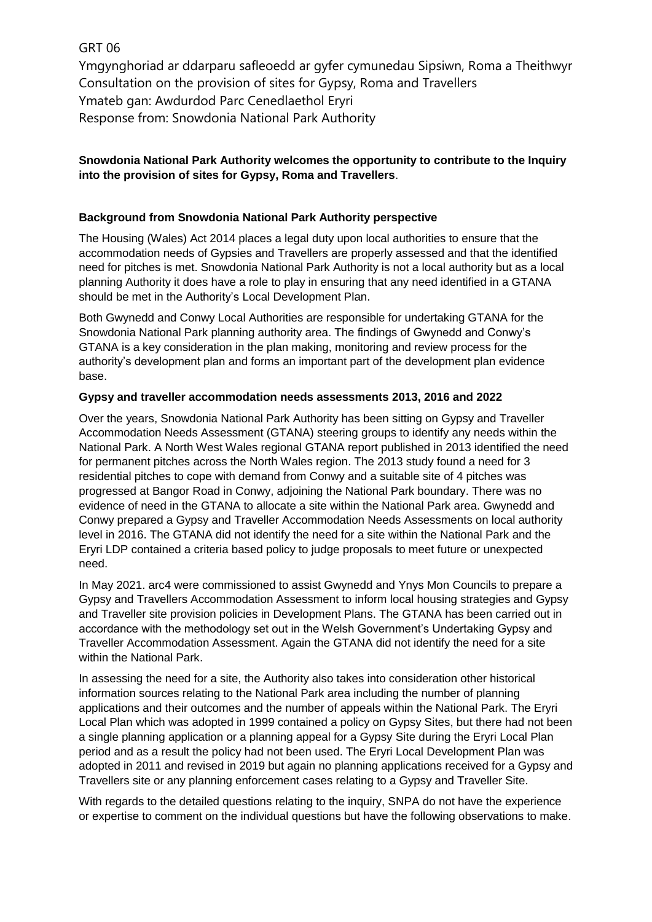# GRT 06

Ymgynghoriad ar ddarparu safleoedd ar gyfer cymunedau Sipsiwn, Roma a Theithwyr Consultation on the provision of sites for Gypsy, Roma and Travellers Ymateb gan: Awdurdod Parc Cenedlaethol Eryri Response from: Snowdonia National Park Authority

## **Snowdonia National Park Authority welcomes the opportunity to contribute to the Inquiry into the provision of sites for Gypsy, Roma and Travellers**.

### **Background from Snowdonia National Park Authority perspective**

The Housing (Wales) Act 2014 places a legal duty upon local authorities to ensure that the accommodation needs of Gypsies and Travellers are properly assessed and that the identified need for pitches is met. Snowdonia National Park Authority is not a local authority but as a local planning Authority it does have a role to play in ensuring that any need identified in a GTANA should be met in the Authority's Local Development Plan.

Both Gwynedd and Conwy Local Authorities are responsible for undertaking GTANA for the Snowdonia National Park planning authority area. The findings of Gwynedd and Conwy's GTANA is a key consideration in the plan making, monitoring and review process for the authority's development plan and forms an important part of the development plan evidence base.

### **Gypsy and traveller accommodation needs assessments 2013, 2016 and 2022**

Over the years, Snowdonia National Park Authority has been sitting on Gypsy and Traveller Accommodation Needs Assessment (GTANA) steering groups to identify any needs within the National Park. A North West Wales regional GTANA report published in 2013 identified the need for permanent pitches across the North Wales region. The 2013 study found a need for 3 residential pitches to cope with demand from Conwy and a suitable site of 4 pitches was progressed at Bangor Road in Conwy, adjoining the National Park boundary. There was no evidence of need in the GTANA to allocate a site within the National Park area. Gwynedd and Conwy prepared a Gypsy and Traveller Accommodation Needs Assessments on local authority level in 2016. The GTANA did not identify the need for a site within the National Park and the Eryri LDP contained a criteria based policy to judge proposals to meet future or unexpected need.

In May 2021. arc4 were commissioned to assist Gwynedd and Ynys Mon Councils to prepare a Gypsy and Travellers Accommodation Assessment to inform local housing strategies and Gypsy and Traveller site provision policies in Development Plans. The GTANA has been carried out in accordance with the methodology set out in the Welsh Government's Undertaking Gypsy and Traveller Accommodation Assessment. Again the GTANA did not identify the need for a site within the National Park.

In assessing the need for a site, the Authority also takes into consideration other historical information sources relating to the National Park area including the number of planning applications and their outcomes and the number of appeals within the National Park. The Eryri Local Plan which was adopted in 1999 contained a policy on Gypsy Sites, but there had not been a single planning application or a planning appeal for a Gypsy Site during the Eryri Local Plan period and as a result the policy had not been used. The Eryri Local Development Plan was adopted in 2011 and revised in 2019 but again no planning applications received for a Gypsy and Travellers site or any planning enforcement cases relating to a Gypsy and Traveller Site.

With regards to the detailed questions relating to the inquiry. SNPA do not have the experience or expertise to comment on the individual questions but have the following observations to make.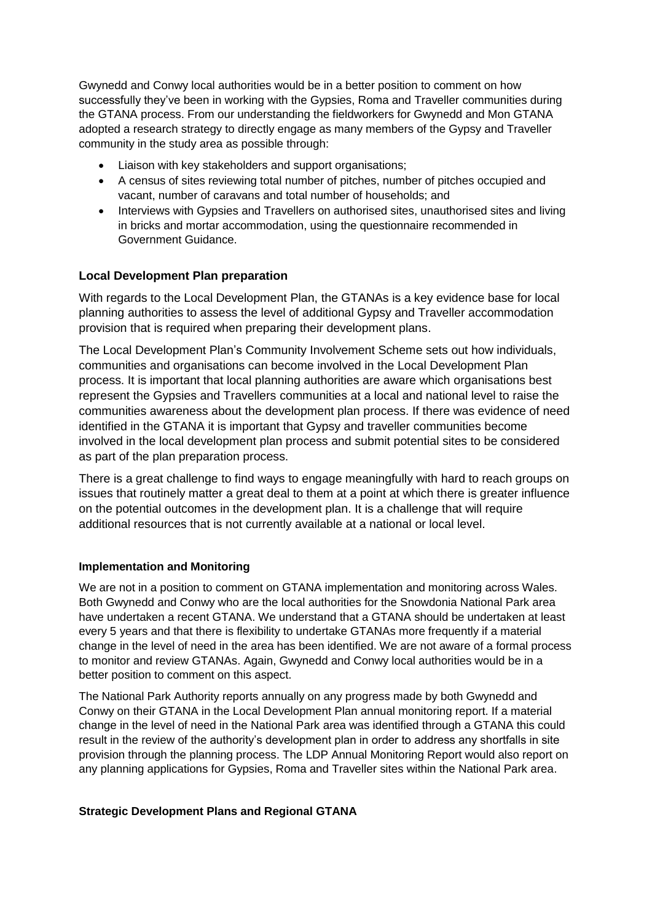Gwynedd and Conwy local authorities would be in a better position to comment on how successfully they've been in working with the Gypsies, Roma and Traveller communities during the GTANA process. From our understanding the fieldworkers for Gwynedd and Mon GTANA adopted a research strategy to directly engage as many members of the Gypsy and Traveller community in the study area as possible through:

- Liaison with key stakeholders and support organisations;
- A census of sites reviewing total number of pitches, number of pitches occupied and vacant, number of caravans and total number of households; and
- Interviews with Gypsies and Travellers on authorised sites, unauthorised sites and living in bricks and mortar accommodation, using the questionnaire recommended in Government Guidance.

### **Local Development Plan preparation**

With regards to the Local Development Plan, the GTANAs is a key evidence base for local planning authorities to assess the level of additional Gypsy and Traveller accommodation provision that is required when preparing their development plans.

The Local Development Plan's Community Involvement Scheme sets out how individuals, communities and organisations can become involved in the Local Development Plan process. It is important that local planning authorities are aware which organisations best represent the Gypsies and Travellers communities at a local and national level to raise the communities awareness about the development plan process. If there was evidence of need identified in the GTANA it is important that Gypsy and traveller communities become involved in the local development plan process and submit potential sites to be considered as part of the plan preparation process.

There is a great challenge to find ways to engage meaningfully with hard to reach groups on issues that routinely matter a great deal to them at a point at which there is greater influence on the potential outcomes in the development plan. It is a challenge that will require additional resources that is not currently available at a national or local level.

### **Implementation and Monitoring**

We are not in a position to comment on GTANA implementation and monitoring across Wales. Both Gwynedd and Conwy who are the local authorities for the Snowdonia National Park area have undertaken a recent GTANA. We understand that a GTANA should be undertaken at least every 5 years and that there is flexibility to undertake GTANAs more frequently if a material change in the level of need in the area has been identified. We are not aware of a formal process to monitor and review GTANAs. Again, Gwynedd and Conwy local authorities would be in a better position to comment on this aspect.

The National Park Authority reports annually on any progress made by both Gwynedd and Conwy on their GTANA in the Local Development Plan annual monitoring report. If a material change in the level of need in the National Park area was identified through a GTANA this could result in the review of the authority's development plan in order to address any shortfalls in site provision through the planning process. The LDP Annual Monitoring Report would also report on any planning applications for Gypsies, Roma and Traveller sites within the National Park area.

### **Strategic Development Plans and Regional GTANA**